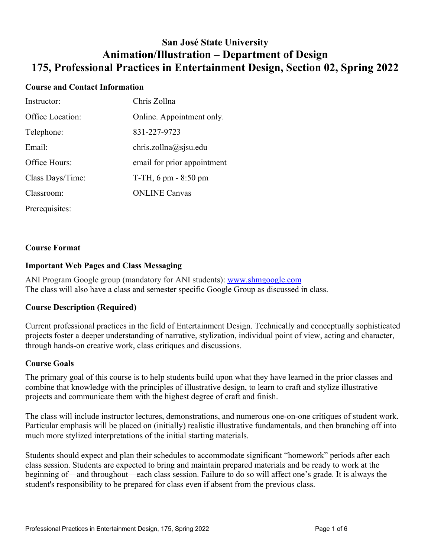# **San José State University Animation/Illustration – Department of Design 175, Professional Practices in Entertainment Design, Section 02, Spring 2022**

## **Course and Contact Information**

| Instructor:      | Chris Zollna                |
|------------------|-----------------------------|
| Office Location: | Online. Appointment only.   |
| Telephone:       | 831-227-9723                |
| Email:           | chris.zollna@sjsu.edu       |
| Office Hours:    | email for prior appointment |
| Class Days/Time: | $T-TH$ , 6 pm $-8:50$ pm    |
| Classroom:       | <b>ONLINE Canvas</b>        |
| Prerequisites:   |                             |

## **Course Format**

## **Important Web Pages and Class Messaging**

ANI Program Google group (mandatory for ANI students): [www.shmgoogle.com](http://www.shmgoogle.com/) The class will also have a class and semester specific Google Group as discussed in class.

## **Course Description (Required)**

Current professional practices in the field of Entertainment Design. Technically and conceptually sophisticated projects foster a deeper understanding of narrative, stylization, individual point of view, acting and character, through hands-on creative work, class critiques and discussions.

#### **Course Goals**

The primary goal of this course is to help students build upon what they have learned in the prior classes and combine that knowledge with the principles of illustrative design, to learn to craft and stylize illustrative projects and communicate them with the highest degree of craft and finish.

The class will include instructor lectures, demonstrations, and numerous one-on-one critiques of student work. Particular emphasis will be placed on (initially) realistic illustrative fundamentals, and then branching off into much more stylized interpretations of the initial starting materials.

Students should expect and plan their schedules to accommodate significant "homework" periods after each class session. Students are expected to bring and maintain prepared materials and be ready to work at the beginning of—and throughout—each class session. Failure to do so will affect one's grade. It is always the student's responsibility to be prepared for class even if absent from the previous class.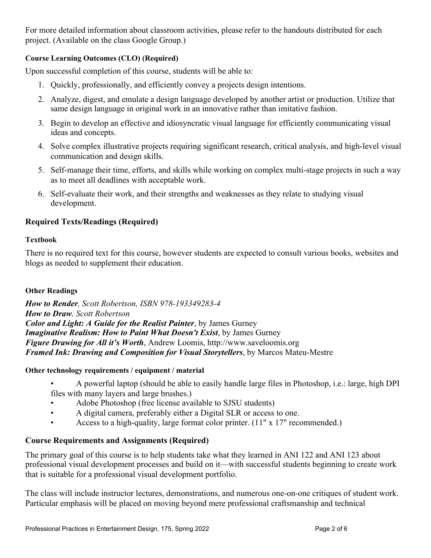For more detailed information about classroom activities, please refer to the handouts distributed for each project. (Available on the class Google Group.)

# **Course Learning Outcomes (CLO) (Required)**

Upon successful completion of this course, students will be able to:

- 1. Quickly, professionally, and efficiently convey a projects design intentions.
- 2. Analyze, digest, and emulate a design language developed by another artist or production. Utilize that same design language in original work in an innovative rather than imitative fashion.
- 3. Begin to develop an effective and idiosyncratic visual language for efficiently communicating visual ideas and concepts.
- 4. Solve complex illustrative projects requiring significant research, critical analysis, and high-level visual communication and design skills.
- 5. Self-manage their time, efforts, and skills while working on complex multi-stage projects in such a way as to meet all deadlines with acceptable work.
- 6. Self-evaluate their work, and their strengths and weaknesses as they relate to studying visual development.

# **Required Texts/Readings (Required)**

## **Textbook**

There is no required text for this course, however students are expected to consult various books, websites and blogs as needed to supplement their education.

## **Other Readings**

*How to Render, Scott Robertson, ISBN 978-193349283-4 How to Draw, Scott Robertson Color and Light: A Guide for the Realist Painter*, by James Gurney *Imaginative Realism: How to Paint What Doesn't Exist*, by James Gurney *Figure Drawing for All it's Worth*, Andrew Loomis, http://www.saveloomis.org *Framed Ink: Drawing and Composition for Visual Storytellers*, by Marcos Mateu-Mestre

## **Other technology requirements / equipment / material**

- A powerful laptop (should be able to easily handle large files in Photoshop, i.e.: large, high DPI files with many layers and large brushes.)
- Adobe Photoshop (free license available to SJSU students)
- A digital camera, preferably either a Digital SLR or access to one.
- Access to a high-quality, large format color printer. (11" x 17" recommended.)

## **Course Requirements and Assignments (Required)**

The primary goal of this course is to help students take what they learned in ANI 122 and ANI 123 about professional visual development processes and build on it—with successful students beginning to create work that is suitable for a professional visual development portfolio.

The class will include instructor lectures, demonstrations, and numerous one-on-one critiques of student work. Particular emphasis will be placed on moving beyond mere professional craftsmanship and technical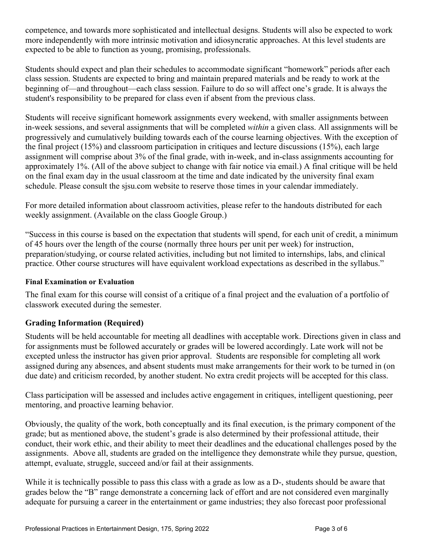competence, and towards more sophisticated and intellectual designs. Students will also be expected to work more independently with more intrinsic motivation and idiosyncratic approaches. At this level students are expected to be able to function as young, promising, professionals.

Students should expect and plan their schedules to accommodate significant "homework" periods after each class session. Students are expected to bring and maintain prepared materials and be ready to work at the beginning of—and throughout—each class session. Failure to do so will affect one's grade. It is always the student's responsibility to be prepared for class even if absent from the previous class.

Students will receive significant homework assignments every weekend, with smaller assignments between in-week sessions, and several assignments that will be completed *within* a given class. All assignments will be progressively and cumulatively building towards each of the course learning objectives. With the exception of the final project (15%) and classroom participation in critiques and lecture discussions (15%), each large assignment will comprise about 3% of the final grade, with in-week, and in-class assignments accounting for approximately 1%. (All of the above subject to change with fair notice via email.) A final critique will be held on the final exam day in the usual classroom at the time and date indicated by the university final exam schedule. Please consult the sjsu.com website to reserve those times in your calendar immediately.

For more detailed information about classroom activities, please refer to the handouts distributed for each weekly assignment. (Available on the class Google Group.)

"Success in this course is based on the expectation that students will spend, for each unit of credit, a minimum of 45 hours over the length of the course (normally three hours per unit per week) for instruction, preparation/studying, or course related activities, including but not limited to internships, labs, and clinical practice. Other course structures will have equivalent workload expectations as described in the syllabus."

## **Final Examination or Evaluation**

The final exam for this course will consist of a critique of a final project and the evaluation of a portfolio of classwork executed during the semester.

## **Grading Information (Required)**

Students will be held accountable for meeting all deadlines with acceptable work. Directions given in class and for assignments must be followed accurately or grades will be lowered accordingly. Late work will not be excepted unless the instructor has given prior approval. Students are responsible for completing all work assigned during any absences, and absent students must make arrangements for their work to be turned in (on due date) and criticism recorded, by another student. No extra credit projects will be accepted for this class.

Class participation will be assessed and includes active engagement in critiques, intelligent questioning, peer mentoring, and proactive learning behavior.

Obviously, the quality of the work, both conceptually and its final execution, is the primary component of the grade; but as mentioned above, the student's grade is also determined by their professional attitude, their conduct, their work ethic, and their ability to meet their deadlines and the educational challenges posed by the assignments. Above all, students are graded on the intelligence they demonstrate while they pursue, question, attempt, evaluate, struggle, succeed and/or fail at their assignments.

While it is technically possible to pass this class with a grade as low as a D-, students should be aware that grades below the "B" range demonstrate a concerning lack of effort and are not considered even marginally adequate for pursuing a career in the entertainment or game industries; they also forecast poor professional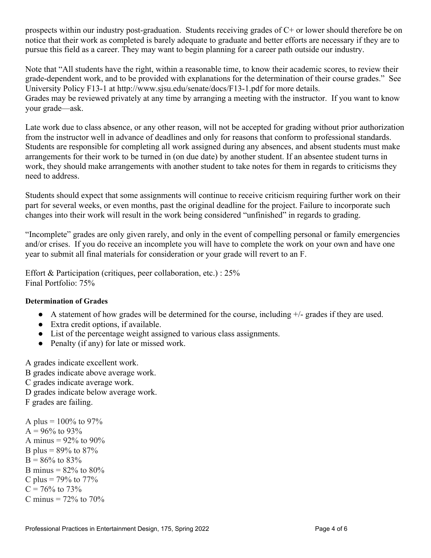prospects within our industry post-graduation. Students receiving grades of C+ or lower should therefore be on notice that their work as completed is barely adequate to graduate and better efforts are necessary if they are to pursue this field as a career. They may want to begin planning for a career path outside our industry.

Note that "All students have the right, within a reasonable time, to know their academic scores, to review their grade-dependent work, and to be provided with explanations for the determination of their course grades." See University Policy F13-1 at http://www.sjsu.edu/senate/docs/F13-1.pdf for more details. Grades may be reviewed privately at any time by arranging a meeting with the instructor. If you want to know your grade—ask.

Late work due to class absence, or any other reason, will not be accepted for grading without prior authorization from the instructor well in advance of deadlines and only for reasons that conform to professional standards. Students are responsible for completing all work assigned during any absences, and absent students must make arrangements for their work to be turned in (on due date) by another student. If an absentee student turns in work, they should make arrangements with another student to take notes for them in regards to criticisms they need to address.

Students should expect that some assignments will continue to receive criticism requiring further work on their part for several weeks, or even months, past the original deadline for the project. Failure to incorporate such changes into their work will result in the work being considered "unfinished" in regards to grading.

"Incomplete" grades are only given rarely, and only in the event of compelling personal or family emergencies and/or crises. If you do receive an incomplete you will have to complete the work on your own and have one year to submit all final materials for consideration or your grade will revert to an F.

Effort & Participation (critiques, peer collaboration, etc.) : 25% Final Portfolio: 75%

## **Determination of Grades**

- A statement of how grades will be determined for the course, including +/- grades if they are used.
- Extra credit options, if available.
- List of the percentage weight assigned to various class assignments.
- Penalty (if any) for late or missed work.

A grades indicate excellent work. B grades indicate above average work. C grades indicate average work. D grades indicate below average work. F grades are failing.

A plus =  $100\%$  to 97%  $A = 96\%$  to 93% A minus =  $92\%$  to  $90\%$ B plus =  $89\%$  to  $87\%$  $B = 86\%$  to 83% B minus =  $82\%$  to  $80\%$ C plus =  $79\%$  to  $77\%$  $C = 76\%$  to 73% C minus  $= 72\%$  to 70%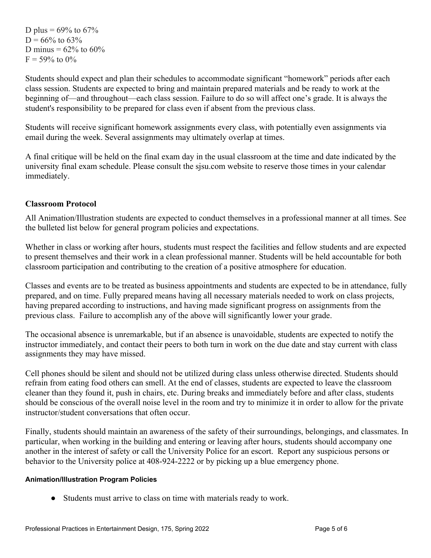D plus =  $69\%$  to  $67\%$  $D = 66\%$  to 63\% D minus =  $62\%$  to  $60\%$  $F = 59\%$  to  $0\%$ 

Students should expect and plan their schedules to accommodate significant "homework" periods after each class session. Students are expected to bring and maintain prepared materials and be ready to work at the beginning of—and throughout—each class session. Failure to do so will affect one's grade. It is always the student's responsibility to be prepared for class even if absent from the previous class.

Students will receive significant homework assignments every class, with potentially even assignments via email during the week. Several assignments may ultimately overlap at times.

A final critique will be held on the final exam day in the usual classroom at the time and date indicated by the university final exam schedule. Please consult the sjsu.com website to reserve those times in your calendar immediately.

## **Classroom Protocol**

All Animation/Illustration students are expected to conduct themselves in a professional manner at all times. See the bulleted list below for general program policies and expectations.

Whether in class or working after hours, students must respect the facilities and fellow students and are expected to present themselves and their work in a clean professional manner. Students will be held accountable for both classroom participation and contributing to the creation of a positive atmosphere for education.

Classes and events are to be treated as business appointments and students are expected to be in attendance, fully prepared, and on time. Fully prepared means having all necessary materials needed to work on class projects, having prepared according to instructions, and having made significant progress on assignments from the previous class. Failure to accomplish any of the above will significantly lower your grade.

The occasional absence is unremarkable, but if an absence is unavoidable, students are expected to notify the instructor immediately, and contact their peers to both turn in work on the due date and stay current with class assignments they may have missed.

Cell phones should be silent and should not be utilized during class unless otherwise directed. Students should refrain from eating food others can smell. At the end of classes, students are expected to leave the classroom cleaner than they found it, push in chairs, etc. During breaks and immediately before and after class, students should be conscious of the overall noise level in the room and try to minimize it in order to allow for the private instructor/student conversations that often occur.

Finally, students should maintain an awareness of the safety of their surroundings, belongings, and classmates. In particular, when working in the building and entering or leaving after hours, students should accompany one another in the interest of safety or call the University Police for an escort. Report any suspicious persons or behavior to the University police at 408-924-2222 or by picking up a blue emergency phone.

## **Animation/Illustration Program Policies**

● Students must arrive to class on time with materials ready to work.